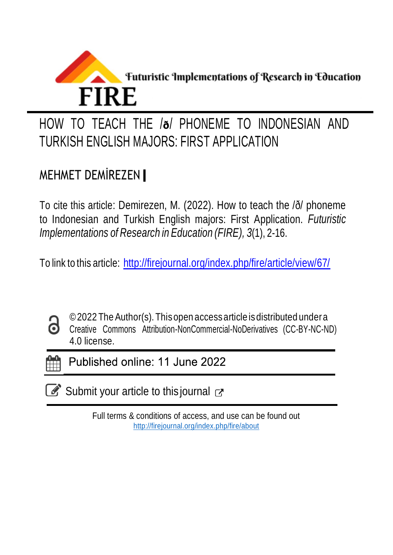

# HOW TO TEACH THE /**ð**/ PHONEME TO INDONESIAN AND TURKISH ENGLISH MAJORS: FIRST APPLICATION

# MEHMET DEMİREZEN

To cite this article: Demirezen, M. (2022). How to teach the /ð/ phoneme to Indonesian and Turkish English majors: First Application. *Futuristic Implementations of Research in Education (FIRE), 3*(1), 2-16.

To link to this article: <http://firejournal.org/index.php/fire/article/view/67/>



©2022 The Author(s). This open access article is distributed under a Creative Commons Attribution-NonCommercial-NoDerivatives (CC-BY-NC-ND) 4.0 license.



Published online: 11 June 2022

 $\mathbb{Z}$  Submit your article to this journal  $\mathbb{Z}$ 

Full terms & conditions of access, and use can be found out <http://firejournal.org/index.php/fire/about>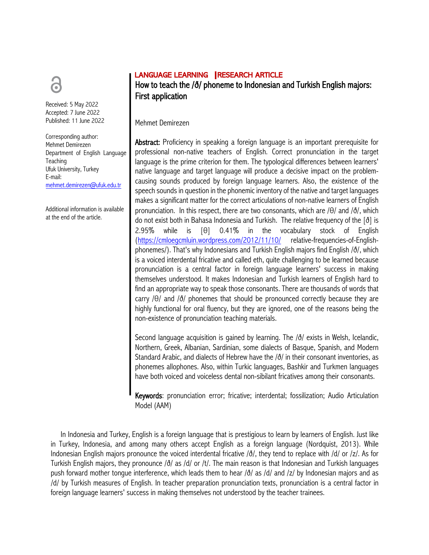# LANGUAGE LEARNING | RESEARCH ARTICLE



Mehmet Demirezen

Abstract: Proficiency in speaking a foreign language is an important prerequisite for professional non-native teachers of English. Correct pronunciation in the target language is the prime criterion for them. The typological differences between learners' native language and target language will produce a decisive impact on the problemcausing sounds produced by foreign language learners. Also, the existence of the speech sounds in question in the phonemic inventory of the native and target languages makes a significant matter for the correct articulations of non-native learners of English pronunciation. In this respect, there are two consonants, which are /θ/ and /ð/, which do not exist both in Bahasa Indonesia and Turkish. The relative frequency of the [ð] is 2.95% while is [θ] 0.41% in the vocabulary stock of English (https://cmloegcmluin.wordpress.com/2012/11/10/ relative-frequencies-of-Englishphonemes/). That's why Indonesians and Turkish English majors find English /ð/, which is a voiced interdental fricative and called eth, quite challenging to be learned because pronunciation is a central factor in foreign language learners' success in making themselves understood. It makes Indonesian and Turkish learners of English hard to find an appropriate way to speak those consonants. There are thousands of words that carry /θ/ and /ð/ phonemes that should be pronounced correctly because they are highly functional for oral fluency, but they are ignored, one of the reasons being the non-existence of pronunciation teaching materials.

Second language acquisition is gained by learning. The /ð/ exists in Welsh, Icelandic, Northern, Greek, Albanian, Sardinian, some dialects of Basque, Spanish, and Modern Standard Arabic, and dialects of Hebrew have the /ð/ in their consonant inventories, as phonemes allophones. Also, within Turkic languages, Bashkir and Turkmen languages have both voiced and voiceless dental non-sibilant fricatives among their consonants.

Keywords: pronunciation error; fricative; interdental; fossilization; Audio Articulation Model (AAM)

In Indonesia and Turkey, English is a foreign language that is prestigious to learn by learners of English. Just like in Turkey, Indonesia, and among many others accept English as a foreign language (Nordquist, 2013). While Indonesian English majors pronounce the voiced interdental fricative  $\delta/$ , they tend to replace with  $\delta/$  or  $\delta/$ . As for Turkish English majors, they pronounce /ð/ as /d/ or /t/. The main reason is that Indonesian and Turkish languages push forward mother tongue interference, which leads them to hear /ð/ as /d/ and /z/ by Indonesian majors and as /d/ by Turkish measures of English. In teacher preparation pronunciation texts, pronunciation is a central factor in foreign language learners' success in making themselves not understood by the teacher trainees.



Received: 5 May 2022 Accepted: 7 June 2022 Published: 11 June 2022

Corresponding author: Mehmet Demirezen Department of English Language **Teaching** Ufuk University, Turkey E-mail: mehmet.demirezen@ufuk.edu.tr

Additional information is available at the end of the article.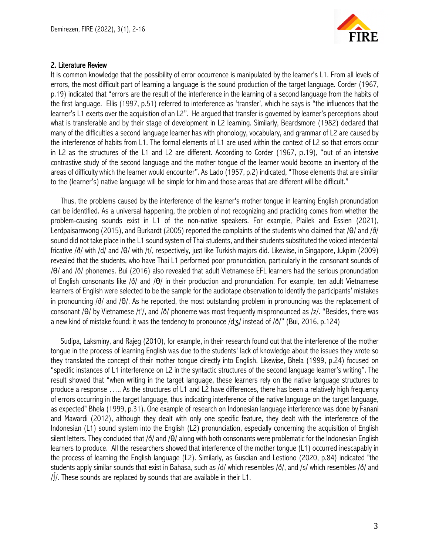

#### 2. Literature Review

It is common knowledge that the possibility of error occurrence is manipulated by the learner's L1. From all levels of errors, the most difficult part of learning a language is the sound production of the target language. Corder (1967, p.19) indicated that "errors are the result of the interference in the learning of a second language from the habits of the first language. Ellis (1997, p.51) referred to interference as 'transfer', which he says is "the influences that the learner's L1 exerts over the acquisition of an L2". He argued that transfer is governed by learner's perceptions about what is transferable and by their stage of development in L2 learning. Similarly, Beardsmore (1982) declared that many of the difficulties a second language learner has with phonology, vocabulary, and grammar of L2 are caused by the interference of habits from L1. The formal elements of L1 are used within the context of L2 so that errors occur in L2 as the structures of the L1 and L2 are different. According to Corder (1967, p.19), "out of an intensive contrastive study of the second language and the mother tongue of the learner would become an inventory of the areas of difficulty which the learner would encounter". As Lado (1957, p.2) indicated, "Those elements that are similar to the (learner's) native language will be simple for him and those areas that are different will be difficult."

Thus, the problems caused by the interference of the learner's mother tongue in learning English pronunciation can be identified. As a universal happening, the problem of not recognizing and practicing comes from whether the problem-causing sounds exist in L1 of the non-native speakers. For example, Plailek and Essien (2021), Lerdpaisarnwong (2015), and Burkardt (2005) reported the complaints of the students who claimed that /θ/ and /ð/ sound did not take place in the L1 sound system of Thai students, and their students substituted the voiced interdental fricative /ð/ with /d/ and /θ/ with /t/, respectively, just like Turkish majors did. Likewise, in Singapore, Jukpim (2009) revealed that the students, who have Thai L1 performed poor pronunciation, particularly in the consonant sounds of /θ/ and /ð/ phonemes. Bui (2016) also revealed that adult Vietnamese EFL learners had the serious pronunciation of English consonants like /ð/ and /θ/ in their production and pronunciation. For example, ten adult Vietnamese learners of English were selected to be the sample for the audiotape observation to identify the participants' mistakes in pronouncing /ð/ and /θ/. As he reported, the most outstanding problem in pronouncing was the replacement of consonant /θ/ by Vietnamese /t'/, and /ð/ phoneme was most frequently mispronounced as /z/. "Besides, there was a new kind of mistake found: it was the tendency to pronounce  $d\vec{a}$  instead of  $\delta$ ,  $\delta$  (Bui, 2016, p.124)

Sudipa, Laksminy, and Rajeg (2010), for example, in their research found out that the interference of the mother tongue in the process of learning English was due to the students' lack of knowledge about the issues they wrote so they translated the concept of their mother tongue directly into English. Likewise, Bhela (1999, p.24) focused on "specific instances of L1 interference on L2 in the syntactic structures of the second language learner's writing". The result showed that "when writing in the target language, these learners rely on the native language structures to produce a response ….. As the structures of L1 and L2 have differences, there has been a relatively high frequency of errors occurring in the target language, thus indicating interference of the native language on the target language, as expected" Bhela (1999, p.31). One example of research on Indonesian language interference was done by Fanani and Mawardi (2012), although they dealt with only one specific feature, they dealt with the interference of the Indonesian (L1) sound system into the English (L2) pronunciation, especially concerning the acquisition of English silent letters. They concluded that  $\delta/$  and  $\delta/$  along with both consonants were problematic for the Indonesian English learners to produce. All the researchers showed that interference of the mother tongue (L1) occurred inescapably in the process of learning the English language (L2). Similarly, as Gusdian and Lestiono (2020, p.84) indicated "the students apply similar sounds that exist in Bahasa, such as /d/ which resembles /ð/, and /s/ which resembles /ð/ and /∫/. These sounds are replaced by sounds that are available in their L1.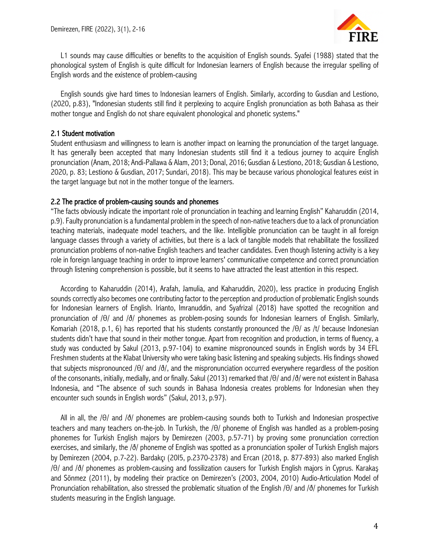

L1 sounds may cause difficulties or benefits to the acquisition of English sounds. Syafei (1988) stated that the phonological system of English is quite difficult for Indonesian learners of English because the irregular spelling of English words and the existence of problem-causing

English sounds give hard times to Indonesian learners of English. Similarly, according to Gusdian and Lestiono, (2020, p.83), "Indonesian students still find it perplexing to acquire English pronunciation as both Bahasa as their mother tongue and English do not share equivalent phonological and phonetic systems."

#### 2.1 Student motivation

Student enthusiasm and willingness to learn is another impact on learning the pronunciation of the target language. It has generally been accepted that many Indonesian students still find it a tedious journey to acquire English pronunciation (Anam, 2018; Andi-Pallawa & Alam, 2013; Donal, 2016; Gusdian & Lestiono, 2018; Gusdian & Lestiono, 2020, p. 83; Lestiono & Gusdian, 2017; Sundari, 2018). This may be because various phonological features exist in the target language but not in the mother tongue of the learners.

#### 2.2 The practice of problem-causing sounds and phonemes

"The facts obviously indicate the important role of pronunciation in teaching and learning English" Kaharuddin (2014, p.9). Faulty pronunciation is a fundamental problem in the speech of non-native teachers due to a lack of pronunciation teaching materials, inadequate model teachers, and the like. Intelligible pronunciation can be taught in all foreign language classes through a variety of activities, but there is a lack of tangible models that rehabilitate the fossilized pronunciation problems of non-native English teachers and teacher candidates. Even though listening activity is a key role in foreign language teaching in order to improve learners' communicative competence and correct pronunciation through listening comprehension is possible, but it seems to have attracted the least attention in this respect.

According to Kaharuddin (2014), Arafah, Jamulia, and Kaharuddin, 2020), less practice in producing English sounds correctly also becomes one contributing factor to the perception and production of problematic English sounds for Indonesian learners of English. Irianto, Imranuddin, and Syafrizal (2018) have spotted the recognition and pronunciation of /θ/ and /ð/ phonemes as problem-posing sounds for Indonesian learners of English. Similarly, Komariah (2018, p.1, 6) has reported that his students constantly pronounced the /θ/ as /t/ because Indonesian students didn't have that sound in their mother tongue. Apart from recognition and production, in terms of fluency, a study was conducted by Sakul (2013, p.97-104) to examine mispronounced sounds in English words by 34 EFL Freshmen students at the Klabat University who were taking basic listening and speaking subjects. His findings showed that subjects mispronounced /θ/ and /ð/, and the mispronunciation occurred everywhere regardless of the position of the consonants, initially, medially, and or finally. Sakul (2013) remarked that /θ/ and /ð/ were not existent in Bahasa Indonesia, and "The absence of such sounds in Bahasa Indonesia creates problems for Indonesian when they encounter such sounds in English words" (Sakul, 2013, p.97).

All in all, the /θ/ and /ð/ phonemes are problem-causing sounds both to Turkish and Indonesian prospective teachers and many teachers on-the-job. In Turkish, the /θ/ phoneme of English was handled as a problem-posing phonemes for Turkish English majors by Demirezen (2003, p.57-71) by proving some pronunciation correction exercises, and similarly, the /ð/ phoneme of English was spotted as a pronunciation spoiler of Turkish English majors by Demirezen (2004, p.7-22). Bardakçı (20I5, p.2370-2378) and Ercan (2018, p. 877-893) also marked English /θ/ and /ð/ phonemes as problem-causing and fossilization causers for Turkish English majors in Cyprus. Karakaş and Sönmez (2011), by modeling their practice on Demirezen's (2003, 2004, 2010) Audio-Articulation Model of Pronunciation rehabilitation, also stressed the problematic situation of the English /θ/ and /ð/ phonemes for Turkish students measuring in the English language.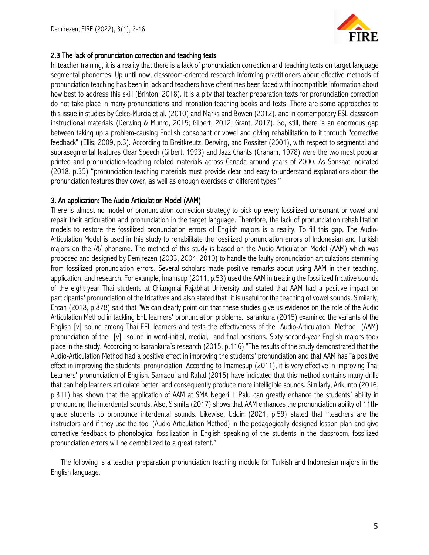

# 2.3 The lack of pronunciation correction and teaching texts

In teacher training, it is a reality that there is a lack of pronunciation correction and teaching texts on target language segmental phonemes. Up until now, classroom-oriented research informing practitioners about effective methods of pronunciation teaching has been in lack and teachers have oftentimes been faced with incompatible information about how best to address this skill (Brinton, 2018). It is a pity that teacher preparation texts for pronunciation correction do not take place in many pronunciations and intonation teaching books and texts. There are some approaches to this issue in studies by Celce-Murcia et al. (2010) and Marks and Bowen (2012), and in contemporary ESL classroom instructional materials (Derwing & Munro, 2015; Gilbert, 2012; Grant, 2017). So, still, there is an enormous gap between taking up a problem-causing English consonant or vowel and giving rehabilitation to it through "corrective feedback" (Ellis, 2009, p.3). According to Breitkreutz, Derwing, and Rossiter (2001), with respect to segmental and suprasegmental features Clear Speech (Gilbert, 1993) and Jazz Chants (Graham, 1978) were the two most popular printed and pronunciation-teaching related materials across Canada around years of 2000. As Sonsaat indicated (2018, p.35) "pronunciation-teaching materials must provide clear and easy-to-understand explanations about the pronunciation features they cover, as well as enough exercises of different types."

## 3. An application: The Audio Articulation Model (AAM)

There is almost no model or pronunciation correction strategy to pick up every fossilized consonant or vowel and repair their articulation and pronunciation in the target language. Therefore, the lack of pronunciation rehabilitation models to restore the fossilized pronunciation errors of English majors is a reality. To fill this gap, The Audio-Articulation Model is used in this study to rehabilitate the fossilized pronunciation errors of Indonesian and Turkish majors on the /ð/ phoneme. The method of this study is based on the Audio Articulation Model (AAM) which was proposed and designed by Demirezen (2003, 2004, 2010) to handle the faulty pronunciation articulations stemming from fossilized pronunciation errors. Several scholars made positive remarks about using AAM in their teaching, application, and research. For example, İmamsup (2011, p.53) used the AAM in treating the fossilized fricative sounds of the eight-year Thai students at Chiangmai Rajabhat University and stated that AAM had a positive impact on participants' pronunciation of the fricatives and also stated that "it is useful for the teaching of vowel sounds. Similarly, Ercan (2018, p.878) said that "We can clearly point out that these studies give us evidence on the role of the Audio Articulation Method in tackling EFL learners' pronunciation problems. Isarankura (2015) examined the variants of the English [v] sound among Thai EFL learners and tests the effectiveness of the Audio-Articulation Method (AAM) pronunciation of the [v] sound in word-initial, medial, and final positions. Sixty second-year English majors took place in the study. According to Isarankura's research (2015, p.116) "The results of the study demonstrated that the Audio-Articulation Method had a positive effect in improving the students' pronunciation and that AAM has "a positive effect in improving the students' pronunciation. According to Imamesup (2011), it is very effective in improving Thai Learners' pronunciation of English. Samaoui and Rahal (2015) have indicated that this method contains many drills that can help learners articulate better, and consequently produce more intelligible sounds. Similarly, Arikunto (2016, p.311) has shown that the application of AAM at SMA Negeri 1 Palu can greatly enhance the students' ability in pronouncing the interdental sounds. Also, Sismita (2017) shows that AAM enhances the pronunciation ability of 11thgrade students to pronounce interdental sounds. Likewise, Uddin (2021, p.59) stated that "teachers are the instructors and if they use the tool (Audio Articulation Method) in the pedagogically designed lesson plan and give corrective feedback to phonological fossilization in English speaking of the students in the classroom, fossilized pronunciation errors will be demobilized to a great extent."

The following is a teacher preparation pronunciation teaching module for Turkish and Indonesian majors in the English language.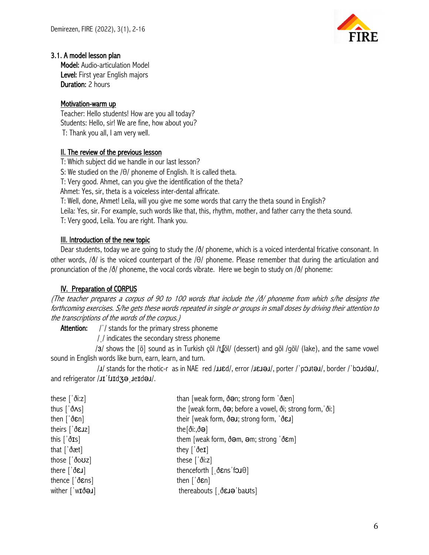

# 3.1. A model lesson plan

Model: Audio-articulation Model Level: First year English majors Duration: 2 hours

# Motivation-warm up

Teacher: Hello students! How are you all today? Students: Hello, sir! We are fine, how about you? T: Thank you all, I am very well.

# II. The review of the previous lesson

T: Which subject did we handle in our last lesson?

S: We studied on the /θ/ phoneme of English. It is called theta.

T: Very good. Ahmet, can you give the identification of the theta?

Ahmet: Yes, sir, theta is a voiceless inter-dental affricate.

T: Well, done, Ahmet! Leila, will you give me some words that carry the theta sound in English?

Leila: Yes, sir. For example, such words like that, this, rhythm, mother, and father carry the theta sound.

T: Very good, Leila. You are right. Thank you.

## III. Introduction of the new topic

Dear students, today we are going to study the /ð/ phoneme, which is a voiced interdental fricative consonant. In other words, /ð/ is the voiced counterpart of the /θ/ phoneme. Please remember that during the articulation and pronunciation of the /ð/ phoneme, the vocal cords vibrate. Here we begin to study on /ð/ phoneme:

# IV. Preparation of CORPUS

(The teacher prepares a corpus of 90 to 100 words that include the /ð/ phoneme from which s/he designs the forthcoming exercises. S/he gets these words repeated in single or groups in small doses by driving their attention to the transcriptions of the words of the corpus.)

Attention: // stands for the primary stress phoneme

/ˌ/ indicates the secondary stress phoneme

 /ɜ/ shows the [ö] sound as in Turkish çöl /tʆöl/ (dessert) and göl /göl/ (lake), and the same vowel sound in English words like burn, earn, learn, and turn.

 /ɹ/ stands for the rhotic-r as in NAE red /ɹɹɛd/, error /ɹɛɹəɹ/, porter /ˈpɔɹtəɹ/, border /ˈbɔɹdəɹ/, and refrigerator /**JI** fJId30 JeIdOJ/.

| these $\left[\right.\dot{\theta}$ i:z]                                                               | than [weak form, ðan; strong form 'ðæn]                                                |
|------------------------------------------------------------------------------------------------------|----------------------------------------------------------------------------------------|
| thus $\left[\begin{array}{c} 0 \\ 0 \\ 0 \end{array}\right]$                                         | the [weak form, $\delta\Theta$ ; before a vowel, $\delta$ i; strong form, $\delta$ i:] |
| then $\left[\begin{array}{c} 0 \\ 0 \\ 0 \end{array}\right]$                                         | their [weak form, $\delta\Theta J$ ; strong form, $\delta\Theta J$ ]                   |
| theirs $\int \delta \epsilon \, dz$ ]                                                                | the $\left[\delta$ i:, $\delta\Theta\right]$                                           |
| this $\left[\dot{\delta}$ <b>Is</b> ]                                                                | them [weak form, $\delta \Theta m$ , $\Theta m$ ; strong $\delta \epsilon m$ ]         |
| that $\int d\theta dt$                                                                               | they $\lceil \delta eI \rceil$                                                         |
| those $\left[\begin{array}{c} 0 & \text{if } 0 \\ 0 & \text{if } 0 \leq x \leq 0 \end{array}\right]$ | these $\left[\right]$ di:z]                                                            |
| there $\left[\hat{\delta} \epsilon \mathbf{J}\right]$                                                | thenceforth $\int$ of $\delta$ <i>Ens</i> $\delta$ fough                               |
| thence $\lceil \delta \epsilon \rangle$                                                              | then $\left[\right]$ $\delta$ $\epsilon$ n]                                            |
| wither $\lceil \text{wI} \delta \Theta \mathbf{J} \rceil$                                            | thereabouts $[$ $\delta$ <b>EJ</b> $\Theta$ ba <b>Uts</b> ]                            |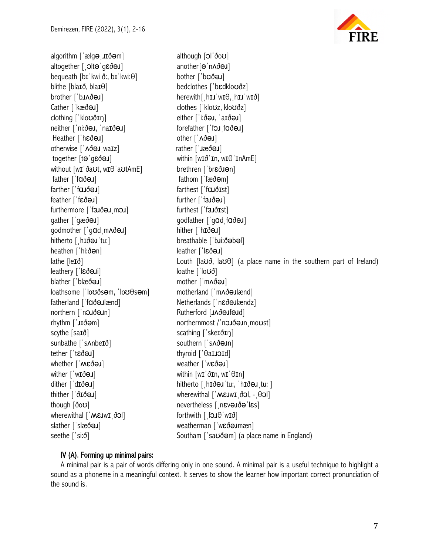algorithm ['ælg**ə** utðəm] although [ɔl'ðoʊ] altogether [ˌɔltəˈɡɛðəɹ] another[əˈnʌðəɹ] bequeath [b**ɪ**ˈkwi ð:, b**ɪ**ˈkwi:θ] bother [ˈb**ɑðəɹ**] blithe [blaɪð, blaɪθ] bedclothes [ˈbɛdkloʊðz] brother ['b**ɹʌðəɹ**] herewith[ˌh**ɪɹ**'w**ɪ**θ, h**ɪɹ**'wɪð] Cather [ˈkæð**əɹ**] clothes [ˈkloʊz, kloʊðz] clothing [ˈkloʊðɪn] either [ˈiːðəɹ, ˈaɪðəɹ] neither [ˈniːðəɹ, ˈnaɪðəɹ] forefather [ˈfɔɹˌfɑðəɹ] Heather [ˈhɛðəɹ] other [ˈʌðəɹ] otherwise [' $\triangle$ ðə u waɪz] rather [' $\triangle$ ə u] together [t**ə** 'qεð**ə***x*] within [wɪð 'ɪn, wɪθ 'ɪnAmE] without [w**ɪ**ˈðaʊt, wɪθ<sup>'</sup>aʊtAmE] brethren ['brεð**ɹ**ən] father [ˈfɑðəɹ] fathom [ˈfæðəm] farther [ˈfɑɹðəɹ] farthest [ˈfɑɹðɪst] feather [ˈfɛðəɹ] further [ˈfɜɹðəɹ] furthermore [ˈfɜɹðəɹˌmɔɹ] furthest [ˈfɜɹðɪst] gather ['qæð**ə]** godfather ['qɑd fɑðə**l**] qodmother ['qɑdˌmʌðəɹ] hither ['hɪðəɹ] hitherto [ˌhɪðəɹˈtu:] breathable [ˈbɹi:ðəbəl] heathen [ˈhi:ðən] leather [ˈlɛðəɹ] leathery ['lɛðəɹi] loathe ['loʊð] blather [ˈblæðəɹ] mother [ˈmʌðəɹ] loathsome [ˈloʊðsəm, ˈloʊθsəm] motherland [ˈmʌðəɹlænd] fatherland [ˈfɑðəɹlænd] Netherlands [ˈnɛðəɹlændz] northern [ˈnɔɹðəɹn] Mutherford [ɹʌðəɹfəɹd] rhythm [ˈɹɪðəm] northernmost /ˈnɔɹðəɹnˌmoʊst] scythe [sa**ɪð]** scythe [sa**ɪ**ð] sunbathe ['sʌnbeɪð] southern ['sʌðəun] tether ['tεðəɹ] thyroid ['θa**ɪɹɔɪ**d] whether [' $M \in \mathfrak{S}$ əl] weather ['wɛðəl] wither ['w**ɪðəɹ**] within [wɪ'ðɪn, wɪ'θɪn] dither ['dɪðəɹ] hitherto [ˌhɪðəɹˈtu:, ˈhɪðəɹˌtu: ] thither ['ð**ɪðə**ɹ] wherewithal ['**Mεɹwɪ** ðɔl, - θɔl] though  $\delta$ oʊ] nevertheless [nɛvəɹðəˈlɛs] wherewithal ['MεJwI<sub>.</sub>ðɔl] forthwith [[fɔɹθ ˈwIð] slather [ˈslæðəɹ] weatherman [ˈwɛðəɹmæn]



lathe [leɪð] Louth [laʊð, laʊθ] (a place name in the southern part of Ireland) seethe ['si:ð] Southam ['sa**ʊðəm**] (a place name in England)

#### IV (A). Forming up minimal pairs:

A minimal pair is a pair of words differing only in one sound. A minimal pair is a useful technique to highlight a sound as a phoneme in a meaningful context. It serves to show the learner how important correct pronunciation of the sound is.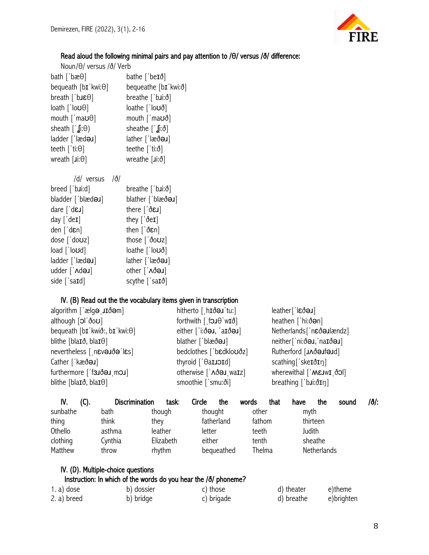

# Read aloud the following minimal pairs and pay attention to /θ/ versus /ð/ difference:

| Noun/ $\theta$ / versus /ð/ Verb                                     |                                                            |  |
|----------------------------------------------------------------------|------------------------------------------------------------|--|
| bath ['bæ $\theta$ ]                                                 | bathe ['be $I\delta$ ]                                     |  |
| bequeath $[bI'kwi:\theta]$                                           | bequeathe [bɪ kwi:ð]                                       |  |
| breath ['b <b>JE</b> $\theta$ ]                                      | breathe $\lceil$ b.i: $\delta$ ]                           |  |
| loath [ˈloʊθ]                                                        | $\text{loathe}$ $\text{lo} \upsilon \delta$                |  |
| mouth $\lceil$ ma $\upsilon\theta\rceil$                             | mouth $\lceil \cdot \text{max} \delta \rceil$              |  |
| sheath $\lceil \cdot \int \mathbf{g} \mathbf{i} \cdot \Theta \rceil$ | sheathe $\left[\begin{array}{c} 1 \\ 0 \end{array}\right]$ |  |
| ladder ['læd <b>ə.</b> ]                                             | $l$ ather [ $l$ læð $\Theta$ J]                            |  |
| teeth [ˈti:θ]                                                        | teethe $[$ ti: $\delta]$                                   |  |
| wreath $\left[\mathsf{ji:}\theta\right]$                             | wreathe $[i:i:\delta]$                                     |  |
|                                                                      |                                                            |  |

| /d/ versus                          | /ð/ |                                                  |
|-------------------------------------|-----|--------------------------------------------------|
| $breed$ [' $b$ <b>J</b> $id$ ]      |     | breathe [ˈbɹi:ð]                                 |
| bladder ['blæd <b>a</b> J]          |     | blather ['blæðaJ]                                |
| dare $\lceil d\varepsilon J \rceil$ |     | there $\lceil \delta \epsilon \mathbf{J} \rceil$ |
| $day$ ['de <b>I</b> ]               |     | they $\lceil \delta eI \rceil$                   |
| den['den]                           |     | then $\left[\right]$ den]                        |
| dose ['doʊz]                        |     | those [ 'ðoʊz]                                   |
| load ['loʊd]                        |     | loathe [ˈloʊð]                                   |
| ladder ['lædeJ]                     |     | lather ['læðəJ]                                  |
| udder ['Ad <b>a</b> J]              |     | other [' Nð a J]                                 |
| side ['sa <b>ɪ</b> d]               |     | scythe $\lceil$ 'sa <b>I</b> ð]                  |

IV. (D). Multiple-choice questions

# IV. (B) Read out the the vocabulary items given in transcription

| algorithm $\left[ \text{`e} \right]$ algorithm $\left[ \text{`e} \right]$ | hitherto $[$ h <b>Id</b> $\Theta$ <b>J</b> tu:    | $leather['l\epsilon\delta\Theta J]$               |
|---------------------------------------------------------------------------|---------------------------------------------------|---------------------------------------------------|
| although [ol'ðoʊ]                                                         | forthwith $[$ fou $\theta$ 'w <b>I</b> $\delta$ ] | heathen ['hi:ðən]                                 |
| bequeath $[bI'kwi\delta; bI'kwi:\theta]$                                  | either ['i:ðə., 'aɪðə.]                           | Netherlands['nɛðəJlændz]                          |
| blithe [bla <b>I</b> $\delta$ , bla <b>I</b> $\theta$ ]                   | blather ['blæðəu]                                 | neither['ni:ðəu, naɪðəu]                          |
| nevertheless [ n Eveude les]                                              | bedclothes ['bɛdkloʊðz]                           | Rutherford [JAðeJfeJd]                            |
| Cather ['kæðə J]                                                          | thyroid [' $\theta$ aLJOId]                       | $scathing['skeI\delta I\eta]$                     |
| furthermore ['f3JðəJ moJ]                                                 | otherwise [' $\triangle$ ðə. waIz]                | wherewithal $\left[ \n\cdot \text{MEJWL} \right]$ |
| blithe [bla <b>I</b> $\delta$ , bla <b>I</b> $\theta$ ]                   | smoothie ['smu:ði]                                | breathing $[\nabla \mathbf{u} \cdot \mathbf{v}]$  |
|                                                                           |                                                   |                                                   |

| IV.      | (C). | <b>Discrimination</b> | task:     | Circle  | the        | words  | that   | have   | the         | sound | /ð/: |
|----------|------|-----------------------|-----------|---------|------------|--------|--------|--------|-------------|-------|------|
| sunbathe |      | bath                  | though    | thought |            | other  |        | myth   |             |       |      |
| thing    |      | think                 | they      |         | fatherland | fathom |        |        | thirteen    |       |      |
| Othello  |      | asthma                | leather   | letter  |            | teeth  |        | Judith |             |       |      |
| clothing |      | Cynthia               | Elizabeth | either  |            | tenth  |        |        | sheathe     |       |      |
| Matthew  |      | throw                 | rhythm    |         | bequeathed |        | Thelma |        | Netherlands |       |      |

| Instruction: In which of the words do you hear the $\delta/$ phoneme? |            |            |            |            |
|-----------------------------------------------------------------------|------------|------------|------------|------------|
| $1. a)$ dose                                                          | b) dossier | c) those   | d) theater | e)theme    |
| 2. a) breed                                                           | b) bridge  | c) brigade | d) breathe | e)brighten |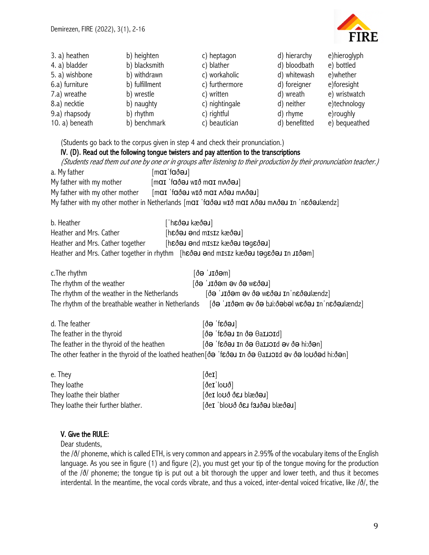

| 3. a) heathen                                                              | b) heighten                                                                  | c) heptagon                                                                                                                                                                                                                                                                                                                                                                                                                           | d) hierarchy  | e) hieroglyph |
|----------------------------------------------------------------------------|------------------------------------------------------------------------------|---------------------------------------------------------------------------------------------------------------------------------------------------------------------------------------------------------------------------------------------------------------------------------------------------------------------------------------------------------------------------------------------------------------------------------------|---------------|---------------|
| 4. a) bladder                                                              | b) blacksmith                                                                | c) blather                                                                                                                                                                                                                                                                                                                                                                                                                            | d) bloodbath  | e) bottled    |
| 5. a) wishbone                                                             | b) withdrawn                                                                 | c) workaholic                                                                                                                                                                                                                                                                                                                                                                                                                         | d) whitewash  | e)whether     |
| 6.a) furniture                                                             | b) fulfillment                                                               | c) furthermore                                                                                                                                                                                                                                                                                                                                                                                                                        | d) foreigner  | e)foresight   |
| 7.a) wreathe                                                               | b) wrestle                                                                   | c) written                                                                                                                                                                                                                                                                                                                                                                                                                            | d) wreath     | e) wristwatch |
| 8.a) necktie                                                               | b) naughty                                                                   | c) nightingale                                                                                                                                                                                                                                                                                                                                                                                                                        | d) neither    | e)technology  |
| 9.a) rhapsody                                                              | b) rhythm                                                                    | c) rightful                                                                                                                                                                                                                                                                                                                                                                                                                           | d) rhyme      | e)roughly     |
| 10. a) beneath                                                             | b) benchmark                                                                 | c) beautician                                                                                                                                                                                                                                                                                                                                                                                                                         | d) benefitted | e) bequeathed |
| a. My father<br>My father with my mother<br>My father with my other mother | [maɪˈfaðəɹ]<br>$\lceil \text{max} \rceil$ for $\text{max}$ with $\text{max}$ | (Students go back to the corpus given in step 4 and check their pronunciation.)<br>IV. (D). Read out the following tongue twisters and pay attention to the transcriptions<br>(Students read them out one by one or in groups after listening to their production by their pronunciation teacher.)<br>[LGỐAm LGỐA IDM Ở LUM] [GỐD] TDM]<br>My father with my other mother in Netherlands [mai 'faðə wið mai Aðə mAðə in 'n eða lændz] |               |               |

| b. Heather                       | [Leðsx keðar]                                                                       |
|----------------------------------|-------------------------------------------------------------------------------------|
| Heather and Mrs. Cather          | [hɛðəɹ ənd mɪsɪz kæðəɹ]                                                             |
| Heather and Mrs. Cather together | [Leðaget Leðssa szazm bne Leðad]                                                    |
|                                  | Heather and Mrs. Cather together in rhythm [hɛðəɹ ənd mɪsɪz kæðəɹ təgɛðəɹ ɪn ɹɪðəm] |

| c. The rhythm                                       | [ðəˈɹɪðəm]                                    |
|-----------------------------------------------------|-----------------------------------------------|
| The rhythm of the weather                           | $[Leôsw e\delta$ ve með $IL'$ eð $]$          |
| The rhythm of the weather in the Netherlands        | Shmskeðar ni reðaw eð ve meðir gó             |
| The rhythm of the breathable weather in Netherlands | [sbnssleðan nr ueðaw ledeð:iud eð ve meðru gð |
|                                                     |                                               |
| d. The feather                                      | [leðar] eð]                                   |
| The feather in the thyroid                          | [də 'feðə u n də ballord]                     |
|                                                     |                                               |

The feather in the thyroid of the heathen  $[\delta\Theta \text{ 'f\texttt{c}}\delta\Theta\textbf{J} \text{ In } \delta\Theta \text{ d} \textbf{a} \textbf{I} \textbf{J} \textbf{J} \textbf{d} \textbf{d} \textbf{d} \textbf{d} \textbf{d} \textbf{d} \textbf{d} \textbf{d} \textbf{d} \textbf{d} \textbf{d} \textbf{d} \textbf{d} \textbf{d} \textbf{d} \textbf{d} \textbf{d} \textbf{d} \textbf{d} \$ The other feather in the thyroid of the loathed heathen[ðə ˈfɛðəɹ ɪn ðə θaɪɹɔɪd əv ðə loʊðəd hi:ðən]

| e. They                            | $\delta$ eI                                                |
|------------------------------------|------------------------------------------------------------|
| They loathe                        | $\delta$ eɪ ˈloʊð]                                         |
| They loathe their blather          | $\delta$ eI lo $\upsilon$ ð ð $\upsilon$ J blæð $\upsilon$ |
| They loathe their further blather. | $\left[\right]$ (Leðssld Leðler) for stold i 19 $\delta$   |

# V. Give the RULE:

Dear students,

the /ð/ phoneme, which is called ETH, is very common and appears in 2.95% of the vocabulary items of the English language. As you see in figure (1) and figure (2), you must get your tip of the tongue moving for the production of the /ð/ phoneme; the tongue tip is put out a bit thorough the upper and lower teeth, and thus it becomes interdental. In the meantime, the vocal cords vibrate, and thus a voiced, inter-dental voiced fricative, like /ð/, the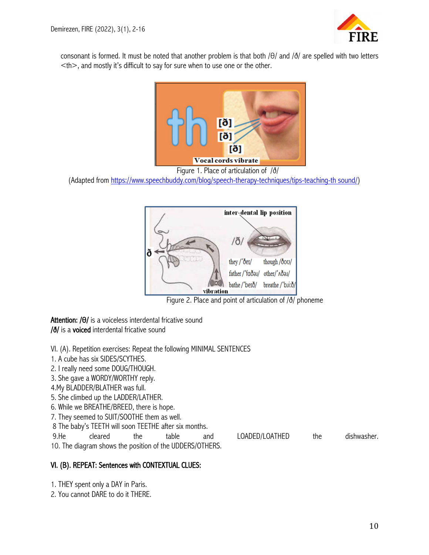

consonant is formed. It must be noted that another problem is that both /θ/ and /ð/ are spelled with two letters  $\leq$ th $>$ , and mostly it's difficult to say for sure when to use one or the other.



(Adapted from https://www.speechbuddy.com/blog/speech-therapy-techniques/tips-teaching-th sound/)



Figure 2. Place and point of articulation of /ð/ phoneme

Attention: /θ/ is a voiceless interdental fricative sound /ð/ is a voiced interdental fricative sound

VI. (A). Repetition exercises: Repeat the following MINIMAL SENTENCES

1. A cube has six SIDES/SCYTHES.

2. I really need some DOUG/THOUGH.

3. She gave a WORDY/WORTHY reply.

4.My BLADDER/BLATHER was full.

5. She climbed up the LADDER/LATHER.

6. While we BREATHE/BREED, there is hope.

7. They seemed to SUIT/SOOTHE them as well.

8 The baby's TEETH will soon TEETHE after six months.

9.He cleared the table and LOADED/LOATHED the dishwasher.

10. The diagram shows the position of the UDDERS/OTHERS.

#### VI. (B). REPEAT: Sentences with CONTEXTUAL CLUES:

1. THEY spent only a DAY in Paris.

2. You cannot DARE to do it THERE.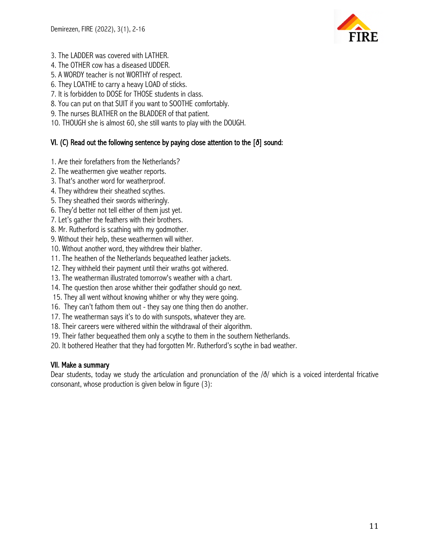

- 3. The LADDER was covered with LATHER.
- 4. The OTHER cow has a diseased UDDER.
- 5. A WORDY teacher is not WORTHY of respect.
- 6. They LOATHE to carry a heavy LOAD of sticks.
- 7. It is forbidden to DOSE for THOSE students in class.
- 8. You can put on that SUIT if you want to SOOTHE comfortably.
- 9. The nurses BLATHER on the BLADDER of that patient.
- 10. THOUGH she is almost 60, she still wants to play with the DOUGH.

# VI. (C) Read out the following sentence by paying close attention to the [ð] sound:

- 1. Are their forefathers from the Netherlands?
- 2. The weathermen give weather reports.
- 3. That's another word for weatherproof.
- 4. They withdrew their sheathed scythes.
- 5. They sheathed their swords witheringly.
- 6. They'd better not tell either of them just yet.
- 7. Let's gather the feathers with their brothers.
- 8. Mr. Rutherford is scathing with my godmother.
- 9. Without their help, these weathermen will wither.
- 10. Without another word, they withdrew their blather.
- 11. The heathen of the Netherlands bequeathed leather jackets.
- 12. They withheld their payment until their wraths got withered.
- 13. The weatherman illustrated tomorrow's weather with a chart.
- 14. The question then arose whither their godfather should go next.
- 15. They all went without knowing whither or why they were going.
- 16. They can't fathom them out they say one thing then do another.
- 17. The weatherman says it's to do with sunspots, whatever they are.
- 18. Their careers were withered within the withdrawal of their algorithm.
- 19. Their father bequeathed them only a scythe to them in the southern Netherlands.
- 20. It bothered Heather that they had forgotten Mr. Rutherford's scythe in bad weather.

#### VII. Make a summary

Dear students, today we study the articulation and pronunciation of the /ð/ which is a voiced interdental fricative consonant, whose production is given below in figure (3):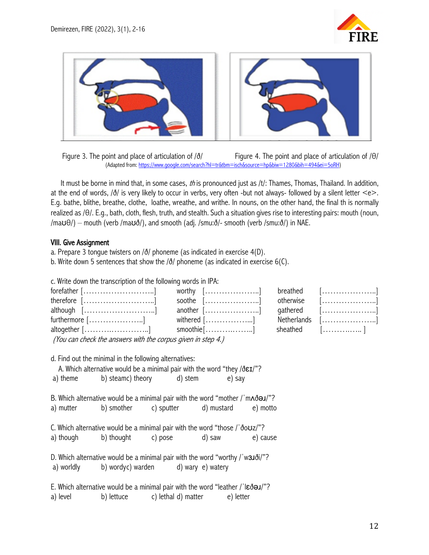



 Figure 3. The point and place of articulation of /ð/ Figure 4. The point and place of articulation of /θ/ (Adapted from: https://www.google.com/search?hl=tr&tbm=isch&source=hp&biw=1280&bih=494&ei=5oRH)

It must be borne in mind that, in some cases, th is pronounced just as  $/t$ : Thames, Thomas, Thailand. In addition, at the end of words, /ð/ is very likely to occur in verbs, very often -but not always- followed by a silent letter <e>. E.g. bathe, blithe, breathe, clothe, loathe, wreathe, and writhe. In nouns, on the other hand, the final th is normally realized as /θ/. E.g., bath, cloth, flesh, truth, and stealth. Such a situation gives rise to interesting pairs: mouth (noun,  $/ma\theta$ ) – mouth (verb /ma $\theta$ ), and smooth (adj. /smu: $\delta$ /- smooth (verb /smu: $\delta$ ) in NAE.

#### VIII. Give Assignment

a. Prepare 3 tongue twisters on /ð/ phoneme (as indicated in exercise 4(D). b. Write down 5 sentences that show the /ð/ phoneme (as indicated in exercise 6(C).

c. Write down the transcription of the following words in IPA:

| $forefather$ $[$ ]                                                                                     | worthy $[\ldots, \ldots, \ldots, \ldots, \ldots]$ breathed $[\ldots, \ldots, \ldots, \ldots, \ldots, \ldots]$ |           |                                                          |
|--------------------------------------------------------------------------------------------------------|---------------------------------------------------------------------------------------------------------------|-----------|----------------------------------------------------------|
|                                                                                                        | soothe $[\ldots, \ldots, \ldots, \ldots, \ldots, \ldots]$                                                     | otherwise |                                                          |
| $although$ $[\ldots$ ]                                                                                 | another []                                                                                                    |           | qathered $[\ldots, \ldots, \ldots, \ldots, \ldots]$      |
| $[$ furthermore $[\ldots, \ldots, \ldots, \ldots]$ withered $[\ldots, \ldots, \ldots, \ldots, \ldots]$ |                                                                                                               |           | $Netherlands$ $[\ldots, \ldots, \ldots, \ldots, \ldots]$ |
| altogether [] smoothie []                                                                              |                                                                                                               |           | sheathed [                                               |
| (You can check the answers with the corpus given in step 4.)                                           |                                                                                                               |           |                                                          |

d. Find out the minimal in the following alternatives:

A. Which alternative would be a minimal pair with the word "they /ðɛɪ/"?

a) theme b) steamc) theory d) stem e) say

B. Which alternative would be a minimal pair with the word "mother / m^d al/"? a) mutter b) smother c) sputter d) mustard e) motto

C. Which alternative would be a minimal pair with the word "those /ˈðoʊz/"? a) though b) thought c) pose d) saw e) cause

D. Which alternative would be a minimal pair with the word "worthy / w3Jði/"? a) worldly b) wordyc) warden d) wary e) watery

E. Which alternative would be a minimal pair with the word "leather /ˈlɛðəɹ/"? a) level b) lettuce c) lethal d) matter e) letter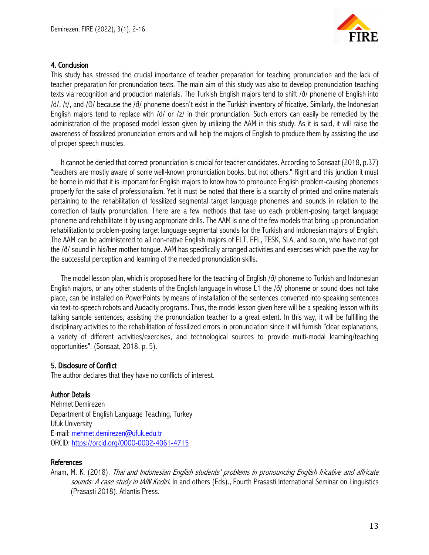

# 4. Conclusion

This study has stressed the crucial importance of teacher preparation for teaching pronunciation and the lack of teacher preparation for pronunciation texts. The main aim of this study was also to develop pronunciation teaching texts via recognition and production materials. The Turkish English majors tend to shift /ð/ phoneme of English into /d/, /t/, and /θ/ because the /ð/ phoneme doesn't exist in the Turkish inventory of fricative. Similarly, the Indonesian English majors tend to replace with /d/ or /z/ in their pronunciation. Such errors can easily be remedied by the administration of the proposed model lesson given by utilizing the AAM in this study. As it is said, it will raise the awareness of fossilized pronunciation errors and will help the majors of English to produce them by assisting the use of proper speech muscles.

It cannot be denied that correct pronunciation is crucial for teacher candidates. According to Sonsaat (2018, p.37) "teachers are mostly aware of some well-known pronunciation books, but not others." Right and this junction it must be borne in mid that it is important for English majors to know how to pronounce English problem-causing phonemes properly for the sake of professionalism. Yet it must be noted that there is a scarcity of printed and online materials pertaining to the rehabilitation of fossilized segmental target language phonemes and sounds in relation to the correction of faulty pronunciation. There are a few methods that take up each problem-posing target language phoneme and rehabilitate it by using appropriate drills. The AAM is one of the few models that bring up pronunciation rehabilitation to problem-posing target language segmental sounds for the Turkish and Indonesian majors of English. The AAM can be administered to all non-native English majors of ELT, EFL, TESK, SLA, and so on, who have not got the /ð/ sound in his/her mother tongue. AAM has specifically arranged activities and exercises which pave the way for the successful perception and learning of the needed pronunciation skills.

The model lesson plan, which is proposed here for the teaching of English /ð/ phoneme to Turkish and Indonesian English majors, or any other students of the English language in whose L1 the /ð/ phoneme or sound does not take place, can be installed on PowerPoints by means of installation of the sentences converted into speaking sentences via text-to-speech robots and Audacity programs. Thus, the model lesson given here will be a speaking lesson with its talking sample sentences, assisting the pronunciation teacher to a great extent. In this way, it will be fulfilling the disciplinary activities to the rehabilitation of fossilized errors in pronunciation since it will furnish "clear explanations, a variety of different activities/exercises, and technological sources to provide multi-modal learning/teaching opportunities". (Sonsaat, 2018, p. 5).

#### 5. Disclosure of Conflict

The author declares that they have no conflicts of interest.

#### Author Details

Mehmet Demirezen Department of English Language Teaching, Turkey Ufuk University E-mail: mehmet.demirezen@ufuk.edu.tr ORCID: https://orcid.org/0000-0002-4061-4715

#### References

Anam, M. K. (2018). Thai and Indonesian English students' problems in pronouncing English fricative and affricate sounds: A case study in IAIN Kediri. In and others (Eds)., Fourth Prasasti International Seminar on Linguistics (Prasasti 2018). Atlantis Press.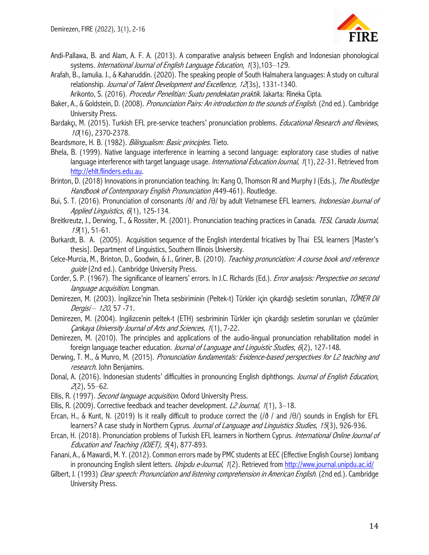

- Andi-Pallawa, B. and Alam, A. F. A. (2013). A comparative analysis between English and Indonesian phonological systems. International Journal of English Language Education, 1(3), 103-129.
- Arafah, B., Jamulia. J., & Kaharuddin. (2020). The speaking people of South Halmahera languages: A study on cultural relationship. Journal of Talent Development and Excellence, 12(3s), 1331-1340.

Arikonto, S. (2016). *Procedur Penelitian: Suatu pendekatan praktik*. Jakarta: Rineka Cipta.

- Baker, A., & Goldstein, D. (2008). Pronunciation Pairs: An introduction to the sounds of English. (2nd ed.). Cambridge University Press.
- Bardakçı, M. (2015). Turkish EFL pre-service teachers' pronunciation problems. *Educational Research and Reviews*, <sup>10</sup>(16), 2370-2378.
- Beardsmore, H. B. (1982). Bilingualism: Basic principles. Tieto.
- Bhela, B. (1999). Native language interference in learning a second language: exploratory case studies of native language interference with target language usage. International Education Journal, 1(1), 22-31. Retrieved from http://ehlt.flinders.edu.au.
- Brinton, D. (2018) Innovations in pronunciation teaching. In: Kang O, Thomson RI and Murphy J (Eds.), The Routledge Handbook of Contemporary English Pronunciation (449-461). Routledge.
- Bui, S. T. (2016). Pronunciation of consonants /ð/ and /θ/ by adult Vietnamese EFL learners. *Indonesian Journal of* Applied Linguistics, 6(1), 125-134.
- Breitkreutz, J., Derwing, T., & Rossiter, M. (2001). Pronunciation teaching practices in Canada. TESL Canada Journal, <sup>19</sup>(1), 51-61.
- Burkardt, B. A. (2005). Acquisition sequence of the English interdental fricatives by Thai ESL learners [Master's thesis]. Department of Linguistics, Southern Illinois University.
- Celce-Murcia, M., Brinton, D., Goodwin, & J., Griner, B. (2010). Teaching pronunciation: A course book and reference *quide* (2nd ed.). Cambridge University Press.
- Corder, S. P. (1967). The significance of learners' errors. In J.C. Richards (Ed.). *Error analysis: Perspective on second* language acquisition. Longman.
- Demirezen, M. (2003). İngilizce'nin Theta sesbiriminin (Peltek-t) Türkler için çıkardığı sesletim sorunları, TÖMER Dil Dergisi - 120, 57 - 71.
- Demirezen, M. (2004). Ingilizcenin peltek-t (ETH) sesbriminin Türkler için çıkardığı sesletim sorunları ve çözümler Çankaya University Journal of Arts and Sciences, 1(1), 7-22.
- Demirezen, M. (2010). The principles and applications of the audio-lingual pronunciation rehabilitation model in foreign language teacher education. Journal of Language and Linguistic Studies, 6(2), 127-148.
- Derwing, T. M., & Munro, M. (2015). Pronunciation fundamentals: Evidence-based perspectives for L2 teaching and research. John Benjamins.
- Donal, A. (2016). Indonesian students' difficulties in pronouncing English diphthongs. Journal of English Education,  $2(2)$ , 55–62.
- Ellis, R. (1997). *Second language acquisition.* Oxford University Press.
- Ellis, R. (2009). Corrective feedback and teacher development.  $L2$  Journal,  $1(1)$ , 3–18.
- Ercan, H., & Kunt, N. (2019) Is it really difficult to produce correct the ( $\delta$  / and  $\delta$ ) sounds in English for EFL learners? A case study in Northern Cyprus. Journal of Language and Linguistics Studies, 15(3), 926-936.
- Ercan, H. (2018). Pronunciation problems of Turkish EFL learners in Northern Cyprus. International Online Journal of Education and Teaching (IOJET), 5(4), 877-893.
- Fanani, A., & Mawardi, M. Y. (2012). Common errors made by PMC students at EEC (Effective English Course) Jombang in pronouncing English silent letters. *Unipdu e-Journal*, 1(2). Retrieved from http://www.journal.unipdu.ac.id/
- Gilbert, J. (1993) Clear speech: Pronunciation and listening comprehension in American English. (2nd ed.). Cambridge University Press.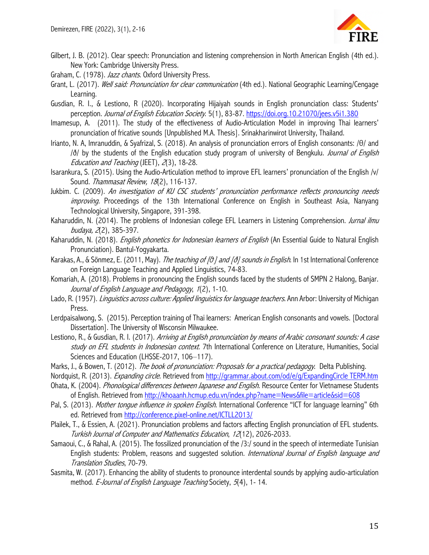

- Gilbert, J. B. (2012). Clear speech: Pronunciation and listening comprehension in North American English (4th ed.). New York: Cambridge University Press.
- Graham, C. (1978). Jazz chants. Oxford University Press.
- Grant, L. (2017). Well said: Pronunciation for clear communication (4th ed.). National Geographic Learning/Cengage Learning.
- Gusdian, R. I., & Lestiono, R (2020). Incorporating Hijaiyah sounds in English pronunciation class: Students' perception. Journal of English Education Society. 5(1), 83-87. https://doi.org.10.21070/jees.v5i1.380
- Imamesup, A. (2011). The study of the effectiveness of Audio-Articulation Model in improving Thai learners' pronunciation of fricative sounds [Unpublished M.A. Thesis]. Srinakharinwirot University, Thailand.
- Irianto, N. A, Imranuddin, & Syafrizal, S. (2018). An analysis of pronunciation errors of English consonants: /θ/ and /ð/ by the students of the English education study program of university of Bengkulu. Journal of English Education and Teaching (JEET), 2(3), 18-28.
- Isarankura, S. (2015). Using the Audio-Articulation method to improve EFL learners' pronunciation of the English /v/ Sound. Thammasat Review, 18(2), 116-137.
- Jukbim. C. (2009). An investigation of KU CSC students' pronunciation performance reflects pronouncing needs improving. Proceedings of the 13th International Conference on English in Southeast Asia, Nanyang Technological University, Singapore, 391-398.
- Kaharuddin, N. (2014). The problems of Indonesian college EFL Learners in Listening Comprehension. Jurnal ilmu budaya, 2(2), 385-397.
- Kaharuddin, N. (2018). *English phonetics for Indonesian learners of English* (An Essential Guide to Natural English Pronunciation). Bantul-Yogyakarta.
- Karakas, A., & Sönmez, E. (2011, May). *The teaching of [θ] and [ð] sounds in English*. In 1st International Conference on Foreign Language Teaching and Applied Linguistics, 74-83.
- Komariah, A. (2018). Problems in pronouncing the English sounds faced by the students of SMPN 2 Halong, Banjar. Journal of English Language and Pedagogy, 1(2), 1-10.
- Lado, R. (1957). Linguistics across culture: Applied linguistics for language teachers. Ann Arbor: University of Michigan Press.
- Lerdpaisalwong, S. (2015). Perception training of Thai learners: American English consonants and vowels. [Doctoral Dissertation]. The University of Wisconsin Milwaukee.
- Lestiono, R., & Gusdian, R. I. (2017). Arriving at English pronunciation by means of Arabic consonant sounds: A case study on EFL students in Indonesian context. 7th International Conference on Literature, Humanities, Social Sciences and Education (LHSSE-2017, 106-117).
- Marks, J., & Bowen, T. (2012). The book of pronunciation: Proposals for a practical pedagogy. Delta Publishing.
- Nordquist, R. (2013). *Expanding circle*. Retrieved from http://grammar.about.com/od/e/q/ExpandingCircle TERM.htm
- Ohata, K. (2004). Phonological differences between Japanese and English. Resource Center for Vietnamese Students of English. Retrieved from http://khoaanh.hcmup.edu.vn/index.php?name=News&file=article&sid=608
- Pal, S. (2013). Mother tongue influence in spoken English. International Conference "ICT for language learning" 6th ed. Retrieved from http://conference.pixel-online.net/ICTLL2013/
- Plailek, T., & Essien, A. (2021). Pronunciation problems and factors affecting English pronunciation of EFL students. Turkish Journal of Computer and Mathematics Education, 12(12), 2026-2033.
- Samaoui, C., & Rahal, A. (2015). The fossilized pronunciation of the /3:/ sound in the speech of intermediate Tunisian English students: Problem, reasons and suggested solution. International Journal of English language and Translation Studies, 70-79.
- Sasmita, W. (2017). Enhancing the ability of students to pronounce interdental sounds by applying audio-articulation method. E-Journal of English Language Teaching Society, 5(4), 1-14.